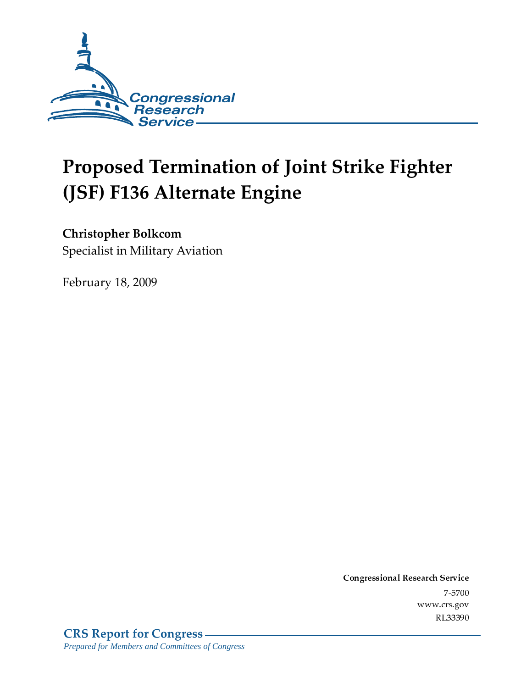

# Proposed Termination of Joint Strike Fighter (JSF) F136 Alternate Engine

Christopher Bolkcom

Specialist in Military Aviation

February 18, 2009

Conglessional Research Service  $7 - 2700$ www.crs.gov RL33390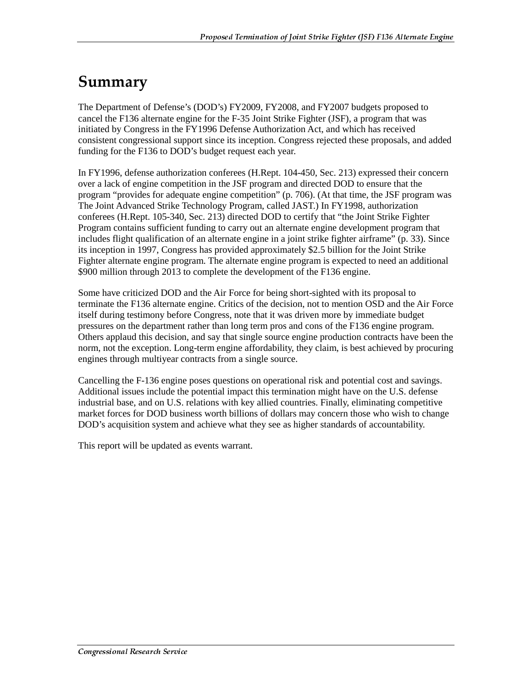# Summary

The Department of Defense's (DOD's) FY2009, FY2008, and FY2007 budgets proposed to cancel the F136 alternate engine for the F-35 Joint Strike Fighter (JSF), a program that was initiated by Congress in the FY1996 Defense Authorization Act, and which has received consistent congressional support since its inception. Congress rejected these proposals, and added funding for the F136 to DOD's budget request each year.

In FY1996, defense authorization conferees (H.Rept. 104-450, Sec. 213) expressed their concern over a lack of engine competition in the JSF program and directed DOD to ensure that the program "provides for adequate engine competition" (p. 706). (At that time, the JSF program was The Joint Advanced Strike Technology Program, called JAST.) In FY1998, authorization conferees (H.Rept. 105-340, Sec. 213) directed DOD to certify that "the Joint Strike Fighter Program contains sufficient funding to carry out an alternate engine development program that includes flight qualification of an alternate engine in a joint strike fighter airframe" (p. 33). Since its inception in 1997, Congress has provided approximately \$2.5 billion for the Joint Strike Fighter alternate engine program. The alternate engine program is expected to need an additional \$900 million through 2013 to complete the development of the F136 engine.

Some have criticized DOD and the Air Force for being short-sighted with its proposal to terminate the F136 alternate engine. Critics of the decision, not to mention OSD and the Air Force itself during testimony before Congress, note that it was driven more by immediate budget pressures on the department rather than long term pros and cons of the F136 engine program. Others applaud this decision, and say that single source engine production contracts have been the norm, not the exception. Long-term engine affordability, they claim, is best achieved by procuring engines through multiyear contracts from a single source.

Cancelling the F-136 engine poses questions on operational risk and potential cost and savings. Additional issues include the potential impact this termination might have on the U.S. defense industrial base, and on U.S. relations with key allied countries. Finally, eliminating competitive market forces for DOD business worth billions of dollars may concern those who wish to change DOD's acquisition system and achieve what they see as higher standards of accountability.

This report will be updated as events warrant.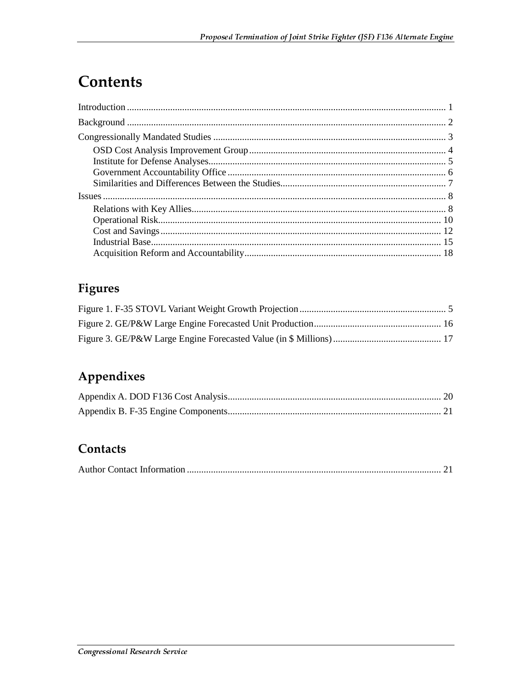# **Contents**

### **Figures**

### Appendixes

#### Contacts

|--|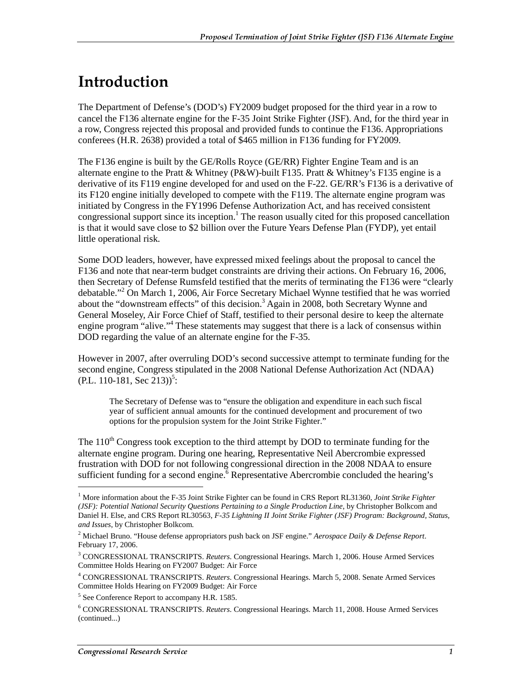# <u>Introduction</u>

The Department of Defense's (DOD's) FY2009 budget proposed for the third year in a row to cancel the F136 alternate engine for the F-35 Joint Strike Fighter (JSF). And, for the third year in a row, Congress rejected this proposal and provided funds to continue the F136. Appropriations conferees (H.R. 2638) provided a total of \$465 million in F136 funding for FY2009.

The F136 engine is built by the GE/Rolls Royce (GE/RR) Fighter Engine Team and is an alternate engine to the Pratt & Whitney (P&W)-built F135. Pratt & Whitney's F135 engine is a derivative of its F119 engine developed for and used on the F-22. GE/RR's F136 is a derivative of its F120 engine initially developed to compete with the F119. The alternate engine program was initiated by Congress in the FY1996 Defense Authorization Act, and has received consistent congressional support since its inception.<sup>1</sup> The reason usually cited for this proposed cancellation is that it would save close to \$2 billion over the Future Years Defense Plan (FYDP), yet entail little operational risk.

Some DOD leaders, however, have expressed mixed feelings about the proposal to cancel the F136 and note that near-term budget constraints are driving their actions. On February 16, 2006, then Secretary of Defense Rumsfeld testified that the merits of terminating the F136 were "clearly debatable."<sup>2</sup> On March 1, 2006, Air Force Secretary Michael Wynne testified that he was worried about the "downstream effects" of this decision.<sup>3</sup> Again in 2008, both Secretary Wynne and General Moseley, Air Force Chief of Staff, testified to their personal desire to keep the alternate engine program "alive."<sup>4</sup> These statements may suggest that there is a lack of consensus within DOD regarding the value of an alternate engine for the F-35.

However in 2007, after overruling DOD's second successive attempt to terminate funding for the second engine, Congress stipulated in the 2008 National Defense Authorization Act (NDAA)  $(PL. 110-181, Sec. 213))^5$ :

The Secretary of Defense was to "ensure the obligation and expenditure in each such fiscal year of sufficient annual amounts for the continued development and procurement of two options for the propulsion system for the Joint Strike Fighter."

The  $110<sup>th</sup>$  Congress took exception to the third attempt by DOD to terminate funding for the alternate engine program. During one hearing, Representative Neil Abercrombie expressed frustration with DOD for not following congressional direction in the 2008 NDAA to ensure sufficient funding for a second engine.<sup>6</sup> Representative Abercrombie concluded the hearing's

<sup>&</sup>lt;sup>1</sup> More information about the F-35 Joint Strike Fighter can be found in CRS Report RL31360, *Joint Strike Fighter (JSF): Potential National Security Questions Pertaining to a Single Production Line*, by Christopher Bolkcom and Daniel H. Else, and CRS Report RL30563, *F-35 Lightning II Joint Strike Fighter (JSF) Program: Background, Status, and Issues*, by Christopher Bolkcom*.*

<sup>2</sup> Michael Bruno. "House defense appropriators push back on JSF engine." *Aerospace Daily & Defense Report*. February 17, 2006.

<sup>3</sup> CONGRESSIONAL TRANSCRIPTS. *Reuters*. Congressional Hearings. March 1, 2006. House Armed Services Committee Holds Hearing on FY2007 Budget: Air Force

<sup>4</sup> CONGRESSIONAL TRANSCRIPTS. *Reuters*. Congressional Hearings. March 5, 2008. Senate Armed Services Committee Holds Hearing on FY2009 Budget: Air Force

<sup>&</sup>lt;sup>5</sup> See Conference Report to accompany H.R. 1585.

<sup>6</sup> CONGRESSIONAL TRANSCRIPTS. *Reuters*. Congressional Hearings. March 11, 2008. House Armed Services (continued...)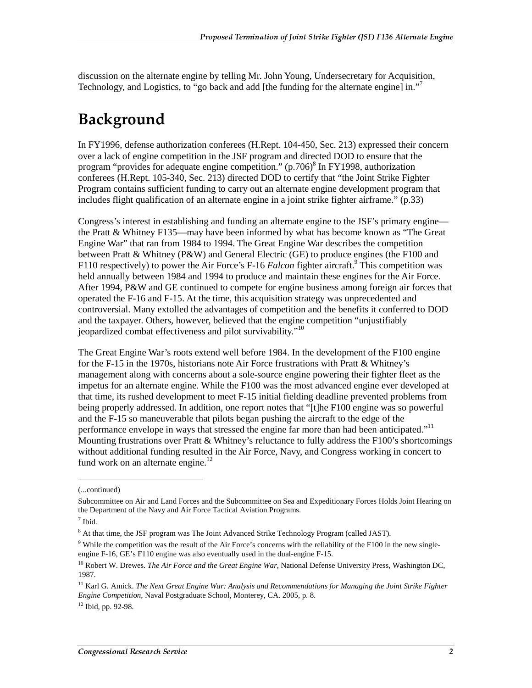discussion on the alternate engine by telling Mr. John Young, Undersecretary for Acquisition, Technology, and Logistics, to "go back and add [the funding for the alternate engine] in."<sup>7</sup>

### Background

In FY1996, defense authorization conferees (H.Rept. 104-450, Sec. 213) expressed their concern over a lack of engine competition in the JSF program and directed DOD to ensure that the program "provides for adequate engine competition." (p.706)<sup>8</sup> In FY1998, authorization conferees (H.Rept. 105-340, Sec. 213) directed DOD to certify that "the Joint Strike Fighter Program contains sufficient funding to carry out an alternate engine development program that includes flight qualification of an alternate engine in a joint strike fighter airframe." (p.33)

Congress's interest in establishing and funding an alternate engine to the JSF's primary engine the Pratt & Whitney F135—may have been informed by what has become known as "The Great Engine War" that ran from 1984 to 1994. The Great Engine War describes the competition between Pratt & Whitney (P&W) and General Electric (GE) to produce engines (the F100 and F110 respectively) to power the Air Force's F-16 *Falcon* fighter aircraft.<sup>9</sup> This competition was held annually between 1984 and 1994 to produce and maintain these engines for the Air Force. After 1994, P&W and GE continued to compete for engine business among foreign air forces that operated the F-16 and F-15. At the time, this acquisition strategy was unprecedented and controversial. Many extolled the advantages of competition and the benefits it conferred to DOD and the taxpayer. Others, however, believed that the engine competition "unjustifiably jeopardized combat effectiveness and pilot survivability."<sup>10</sup>

The Great Engine War's roots extend well before 1984. In the development of the F100 engine for the F-15 in the 1970s, historians note Air Force frustrations with Pratt & Whitney's management along with concerns about a sole-source engine powering their fighter fleet as the impetus for an alternate engine. While the F100 was the most advanced engine ever developed at that time, its rushed development to meet F-15 initial fielding deadline prevented problems from being properly addressed. In addition, one report notes that "[t]he F100 engine was so powerful and the F-15 so maneuverable that pilots began pushing the aircraft to the edge of the performance envelope in ways that stressed the engine far more than had been anticipated."<sup>11</sup> Mounting frustrations over Pratt & Whitney's reluctance to fully address the F100's shortcomings without additional funding resulted in the Air Force, Navy, and Congress working in concert to fund work on an alternate engine. $^{12}$ 

<sup>(...</sup>continued)

Subcommittee on Air and Land Forces and the Subcommittee on Sea and Expeditionary Forces Holds Joint Hearing on the Department of the Navy and Air Force Tactical Aviation Programs.

<sup>7</sup> Ibid.

<sup>&</sup>lt;sup>8</sup> At that time, the JSF program was The Joint Advanced Strike Technology Program (called JAST).

 $9$  While the competition was the result of the Air Force's concerns with the reliability of the F100 in the new singleengine F-16, GE's F110 engine was also eventually used in the dual-engine F-15.

<sup>&</sup>lt;sup>10</sup> Robert W. Drewes. *The Air Force and the Great Engine War*, National Defense University Press, Washington DC, 1987.

<sup>&</sup>lt;sup>11</sup> Karl G. Amick. *The Next Great Engine War: Analysis and Recommendations for Managing the Joint Strike Fighter Engine Competition*, Naval Postgraduate School, Monterey, CA. 2005, p. 8.

<sup>12</sup> Ibid, pp. 92-98.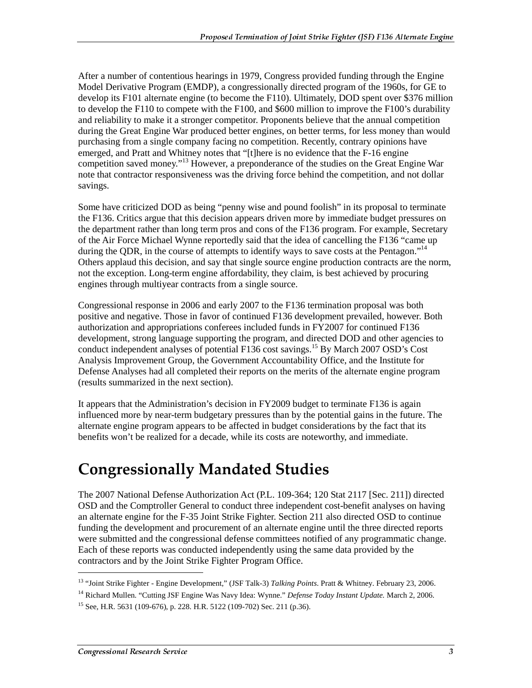After a number of contentious hearings in 1979, Congress provided funding through the Engine Model Derivative Program (EMDP), a congressionally directed program of the 1960s, for GE to develop its F101 alternate engine (to become the F110). Ultimately, DOD spent over \$376 million to develop the F110 to compete with the F100, and \$600 million to improve the F100's durability and reliability to make it a stronger competitor. Proponents believe that the annual competition during the Great Engine War produced better engines, on better terms, for less money than would purchasing from a single company facing no competition. Recently, contrary opinions have emerged, and Pratt and Whitney notes that "[t]here is no evidence that the F-16 engine competition saved money."13 However, a preponderance of the studies on the Great Engine War note that contractor responsiveness was the driving force behind the competition, and not dollar savings.

Some have criticized DOD as being "penny wise and pound foolish" in its proposal to terminate the F136. Critics argue that this decision appears driven more by immediate budget pressures on the department rather than long term pros and cons of the F136 program. For example, Secretary of the Air Force Michael Wynne reportedly said that the idea of cancelling the F136 "came up during the QDR, in the course of attempts to identify ways to save costs at the Pentagon."<sup>14</sup> Others applaud this decision, and say that single source engine production contracts are the norm, not the exception. Long-term engine affordability, they claim, is best achieved by procuring engines through multiyear contracts from a single source.

Congressional response in 2006 and early 2007 to the F136 termination proposal was both positive and negative. Those in favor of continued F136 development prevailed, however. Both authorization and appropriations conferees included funds in FY2007 for continued F136 development, strong language supporting the program, and directed DOD and other agencies to conduct independent analyses of potential F136 cost savings.<sup>15</sup> By March 2007 OSD's Cost Analysis Improvement Group, the Government Accountability Office, and the Institute for Defense Analyses had all completed their reports on the merits of the alternate engine program (results summarized in the next section).

It appears that the Administration's decision in FY2009 budget to terminate F136 is again influenced more by near-term budgetary pressures than by the potential gains in the future. The alternate engine program appears to be affected in budget considerations by the fact that its benefits won't be realized for a decade, while its costs are noteworthy, and immediate.

## **Congressionally Mandated Studies**

The 2007 National Defense Authorization Act (P.L. 109-364; 120 Stat 2117 [Sec. 211]) directed OSD and the Comptroller General to conduct three independent cost-benefit analyses on having an alternate engine for the F-35 Joint Strike Fighter. Section 211 also directed OSD to continue funding the development and procurement of an alternate engine until the three directed reports were submitted and the congressional defense committees notified of any programmatic change. Each of these reports was conducted independently using the same data provided by the contractors and by the Joint Strike Fighter Program Office.

<sup>13 &</sup>quot;Joint Strike Fighter - Engine Development," (JSF Talk-3) *Talking Points*. Pratt & Whitney. February 23, 2006.

<sup>14</sup> Richard Mullen. "Cutting JSF Engine Was Navy Idea: Wynne." *Defense Today Instant Update.* March 2, 2006.

<sup>&</sup>lt;sup>15</sup> See, H.R. 5631 (109-676), p. 228. H.R. 5122 (109-702) Sec. 211 (p.36).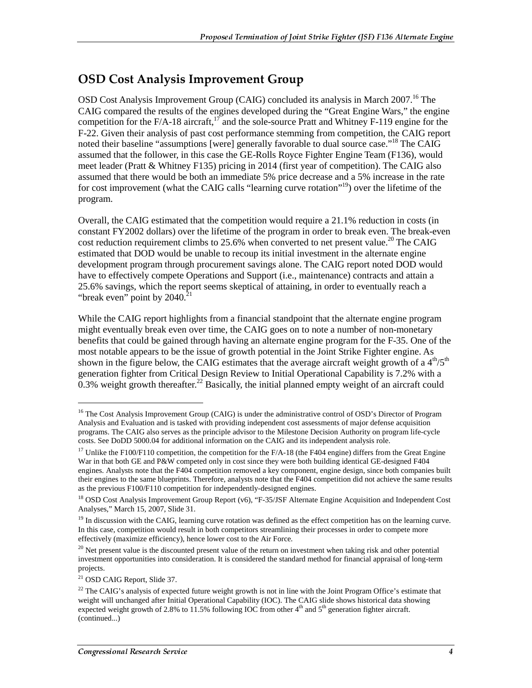#### **OSD Cost Analysis Improvement Group**

OSD Cost Analysis Improvement Group (CAIG) concluded its analysis in March 2007.<sup>16</sup> The CAIG compared the results of the engines developed during the "Great Engine Wars," the engine competition for the F/A-18 aircraft, $17$  and the sole-source Pratt and Whitney F-119 engine for the F-22. Given their analysis of past cost performance stemming from competition, the CAIG report noted their baseline "assumptions [were] generally favorable to dual source case."<sup>18</sup> The CAIG assumed that the follower, in this case the GE-Rolls Royce Fighter Engine Team (F136), would meet leader (Pratt & Whitney F135) pricing in 2014 (first year of competition). The CAIG also assumed that there would be both an immediate 5% price decrease and a 5% increase in the rate for cost improvement (what the CAIG calls "learning curve rotation"<sup>19</sup>) over the lifetime of the program.

Overall, the CAIG estimated that the competition would require a 21.1% reduction in costs (in constant FY2002 dollars) over the lifetime of the program in order to break even. The break-even cost reduction requirement climbs to  $25.6\%$  when converted to net present value.<sup>20</sup> The CAIG estimated that DOD would be unable to recoup its initial investment in the alternate engine development program through procurement savings alone. The CAIG report noted DOD would have to effectively compete Operations and Support (i.e., maintenance) contracts and attain a 25.6% savings, which the report seems skeptical of attaining, in order to eventually reach a "break even" point by  $2040$ .<sup>21</sup>

While the CAIG report highlights from a financial standpoint that the alternate engine program might eventually break even over time, the CAIG goes on to note a number of non-monetary benefits that could be gained through having an alternate engine program for the F-35. One of the most notable appears to be the issue of growth potential in the Joint Strike Fighter engine. As shown in the figure below, the CAIG estimates that the average aircraft weight growth of a  $4<sup>th</sup>/5<sup>th</sup>$ generation fighter from Critical Design Review to Initial Operational Capability is 7.2% with a  $0.3\%$  weight growth thereafter.<sup>22</sup> Basically, the initial planned empty weight of an aircraft could

<sup>&</sup>lt;sup>16</sup> The Cost Analysis Improvement Group (CAIG) is under the administrative control of OSD's Director of Program Analysis and Evaluation and is tasked with providing independent cost assessments of major defense acquisition programs. The CAIG also serves as the principle advisor to the Milestone Decision Authority on program life-cycle costs. See DoDD 5000.04 for additional information on the CAIG and its independent analysis role.

<sup>&</sup>lt;sup>17</sup> Unlike the F100/F110 competition, the competition for the F/A-18 (the F404 engine) differs from the Great Engine War in that both GE and P&W competed only in cost since they were both building identical GE-designed F404 engines. Analysts note that the F404 competition removed a key component, engine design, since both companies built their engines to the same blueprints. Therefore, analysts note that the F404 competition did not achieve the same results as the previous F100/F110 competition for independently-designed engines.

<sup>&</sup>lt;sup>18</sup> OSD Cost Analysis Improvement Group Report (v6), "F-35/JSF Alternate Engine Acquisition and Independent Cost Analyses," March 15, 2007, Slide 31.

 $<sup>19</sup>$  In discussion with the CAIG, learning curve rotation was defined as the effect competition has on the learning curve.</sup> In this case, competition would result in both competitors streamlining their processes in order to compete more effectively (maximize efficiency), hence lower cost to the Air Force.

 $20$  Net present value is the discounted present value of the return on investment when taking risk and other potential investment opportunities into consideration. It is considered the standard method for financial appraisal of long-term projects.

<sup>21</sup> OSD CAIG Report, Slide 37.

<sup>&</sup>lt;sup>22</sup> The CAIG's analysis of expected future weight growth is not in line with the Joint Program Office's estimate that weight will unchanged after Initial Operational Capability (IOC). The CAIG slide shows historical data showing expected weight growth of 2.8% to 11.5% following IOC from other  $4<sup>th</sup>$  and  $5<sup>th</sup>$  generation fighter aircraft. (continued...)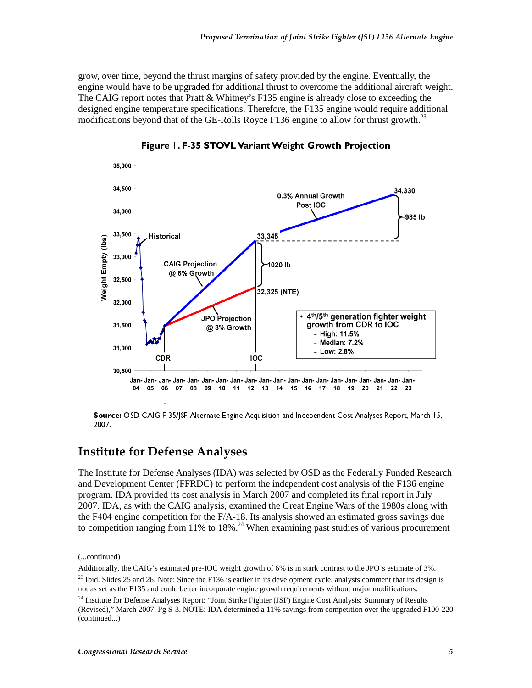grow, over time, beyond the thrust margins of safety provided by the engine. Eventually, the engine would have to be upgraded for additional thrust to overcome the additional aircraft weight. The CAIG report notes that Pratt & Whitney's F135 engine is already close to exceeding the designed engine temperature specifications. Therefore, the F135 engine would require additional modifications beyond that of the GE-Rolls Royce  $F136$  engine to allow for thrust growth.<sup>23</sup>



Figure 1. F-35 STOVL Variant Weight Growth Projection

Source: OSD CAIG F-35/JSF Alternate Engine Acquisition and Independent Cost Analyses Report, March 15, 2007.

#### **Institute for Defense Analyses**

The Institute for Defense Analyses (IDA) was selected by OSD as the Federally Funded Research and Development Center (FFRDC) to perform the independent cost analysis of the F136 engine program. IDA provided its cost analysis in March 2007 and completed its final report in July 2007. IDA, as with the CAIG analysis, examined the Great Engine Wars of the 1980s along with the F404 engine competition for the F/A-18. Its analysis showed an estimated gross savings due to competition ranging from 11% to 18%.<sup>24</sup> When examining past studies of various procurement

<sup>(...</sup>continued)

Additionally, the CAIG's estimated pre-IOC weight growth of 6% is in stark contrast to the JPO's estimate of 3%.

 $23$  Ibid. Slides 25 and 26. Note: Since the F136 is earlier in its development cycle, analysts comment that its design is not as set as the F135 and could better incorporate engine growth requirements without major modifications.

<sup>&</sup>lt;sup>24</sup> Institute for Defense Analyses Report: "Joint Strike Fighter (JSF) Engine Cost Analysis: Summary of Results (Revised)," March 2007, Pg S-3. NOTE: IDA determined a 11% savings from competition over the upgraded F100-220 (continued...)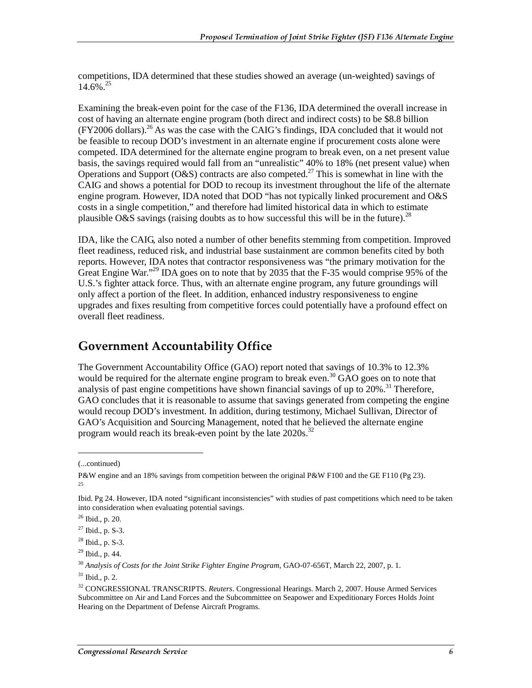competitions, IDA determined that these studies showed an average (un-weighted) savings of  $14.6\%$ <sup>25</sup>

Examining the break-even point for the case of the F136, IDA determined the overall increase in cost of having an alternate engine program (both direct and indirect costs) to be \$8.8 billion  $(FY2006$  dollars).<sup>26</sup> As was the case with the CAIG's findings, IDA concluded that it would not be feasible to recoup DOD's investment in an alternate engine if procurement costs alone were competed. IDA determined for the alternate engine program to break even, on a net present value basis, the savings required would fall from an "unrealistic" 40% to 18% (net present value) when Operations and Support (O&S) contracts are also competed.<sup>27</sup> This is somewhat in line with the CAIG and shows a potential for DOD to recoup its investment throughout the life of the alternate engine program. However, IDA noted that DOD "has not typically linked procurement and O&S costs in a single competition," and therefore had limited historical data in which to estimate plausible O&S savings (raising doubts as to how successful this will be in the future).<sup>28</sup>

IDA, like the CAIG, also noted a number of other benefits stemming from competition. Improved fleet readiness, reduced risk, and industrial base sustainment are common benefits cited by both reports. However, IDA notes that contractor responsiveness was "the primary motivation for the Great Engine War."<sup>29</sup> IDA goes on to note that by 2035 that the F-35 would comprise 95% of the U.S.'s fighter attack force. Thus, with an alternate engine program, any future groundings will only affect a portion of the fleet. In addition, enhanced industry responsiveness to engine upgrades and fixes resulting from competitive forces could potentially have a profound effect on overall fleet readiness.

#### **Government Accountability Office**

The Government Accountability Office (GAO) report noted that savings of 10.3% to 12.3% would be required for the alternate engine program to break even.<sup>30</sup> GAO goes on to note that analysis of past engine competitions have shown financial savings of up to  $20\%$ <sup>31</sup>. Therefore, GAO concludes that it is reasonable to assume that savings generated from competing the engine would recoup DOD's investment. In addition, during testimony, Michael Sullivan, Director of GAO's Acquisition and Sourcing Management, noted that he believed the alternate engine program would reach its break-even point by the late  $2020s$ <sup>32</sup>

<sup>(...</sup>continued)

P&W engine and an 18% savings from competition between the original P&W F100 and the GE F110 (Pg 23). 25

Ibid. Pg 24. However, IDA noted "significant inconsistencies" with studies of past competitions which need to be taken into consideration when evaluating potential savings.

 $26$  Ibid., p. 20.

 $27$  Ibid., p. S-3.

 $^{28}$  Ibid., p. S-3.

 $29$  Ibid., p. 44.

<sup>30</sup> *Analysis of Costs for the Joint Strike Fighter Engine Program*, GAO-07-656T, March 22, 2007, p. 1.

<sup>31</sup> Ibid., p. 2.

<sup>32</sup> CONGRESSIONAL TRANSCRIPTS. *Reuters*. Congressional Hearings. March 2, 2007. House Armed Services Subcommittee on Air and Land Forces and the Subcommittee on Seapower and Expeditionary Forces Holds Joint Hearing on the Department of Defense Aircraft Programs.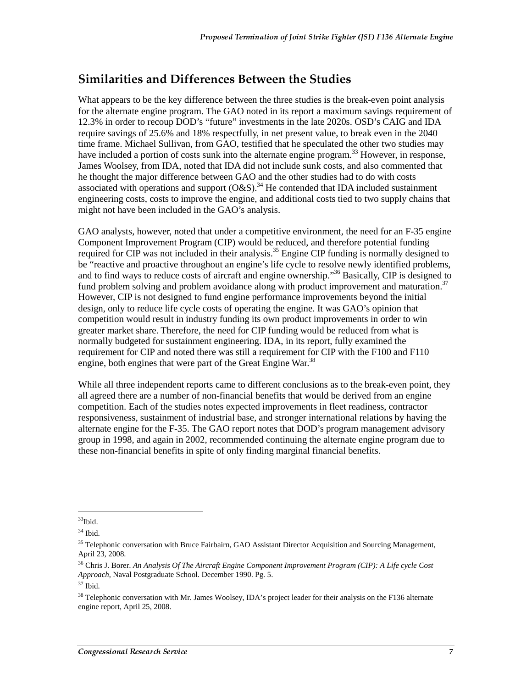#### Similarities and Differences Between the Studies

What appears to be the key difference between the three studies is the break-even point analysis for the alternate engine program. The GAO noted in its report a maximum savings requirement of 12.3% in order to recoup DOD's "future" investments in the late 2020s. OSD's CAIG and IDA require savings of 25.6% and 18% respectfully, in net present value, to break even in the 2040 time frame. Michael Sullivan, from GAO, testified that he speculated the other two studies may have included a portion of costs sunk into the alternate engine program.<sup>33</sup> However, in response, James Woolsey, from IDA, noted that IDA did not include sunk costs, and also commented that he thought the major difference between GAO and the other studies had to do with costs associated with operations and support  $(O\&S)^{34}$  He contended that IDA included sustainment engineering costs, costs to improve the engine, and additional costs tied to two supply chains that might not have been included in the GAO's analysis.

GAO analysts, however, noted that under a competitive environment, the need for an F-35 engine Component Improvement Program (CIP) would be reduced, and therefore potential funding required for CIP was not included in their analysis.<sup>35</sup> Engine CIP funding is normally designed to be "reactive and proactive throughout an engine's life cycle to resolve newly identified problems, and to find ways to reduce costs of aircraft and engine ownership."36 Basically, CIP is designed to fund problem solving and problem avoidance along with product improvement and maturation.<sup>37</sup> However, CIP is not designed to fund engine performance improvements beyond the initial design, only to reduce life cycle costs of operating the engine. It was GAO's opinion that competition would result in industry funding its own product improvements in order to win greater market share. Therefore, the need for CIP funding would be reduced from what is normally budgeted for sustainment engineering. IDA, in its report, fully examined the requirement for CIP and noted there was still a requirement for CIP with the F100 and F110 engine, both engines that were part of the Great Engine War.<sup>38</sup>

While all three independent reports came to different conclusions as to the break-even point, they all agreed there are a number of non-financial benefits that would be derived from an engine competition. Each of the studies notes expected improvements in fleet readiness, contractor responsiveness, sustainment of industrial base, and stronger international relations by having the alternate engine for the F-35. The GAO report notes that DOD's program management advisory group in 1998, and again in 2002, recommended continuing the alternate engine program due to these non-financial benefits in spite of only finding marginal financial benefits.

<sup>33</sup>Ibid.

 $^{\rm 34}$  Ibid.

<sup>&</sup>lt;sup>35</sup> Telephonic conversation with Bruce Fairbairn, GAO Assistant Director Acquisition and Sourcing Management, April 23, 2008.

<sup>36</sup> Chris J. Borer. *An Analysis Of The Aircraft Engine Component Improvement Program (CIP): A Life cycle Cost Approach*, Naval Postgraduate School. December 1990. Pg. 5.

<sup>37</sup> Ibid.

<sup>&</sup>lt;sup>38</sup> Telephonic conversation with Mr. James Woolsey, IDA's project leader for their analysis on the F136 alternate engine report, April 25, 2008.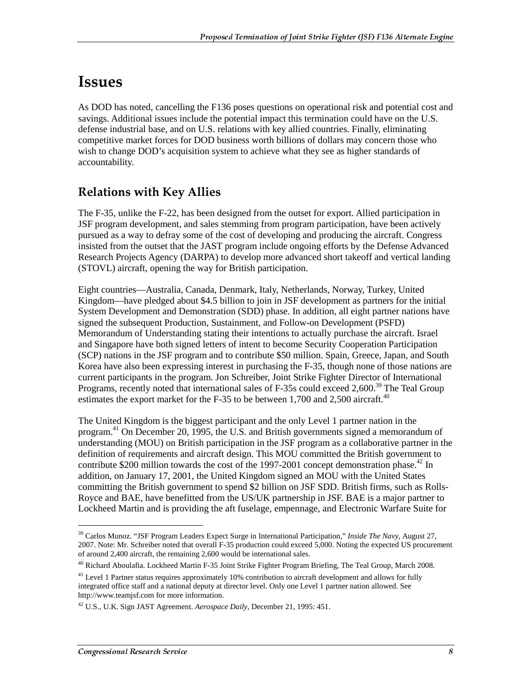### **Issues**

As DOD has noted, cancelling the F136 poses questions on operational risk and potential cost and savings. Additional issues include the potential impact this termination could have on the U.S. defense industrial base, and on U.S. relations with key allied countries. Finally, eliminating competitive market forces for DOD business worth billions of dollars may concern those who wish to change DOD's acquisition system to achieve what they see as higher standards of accountability.

#### **Relations with Key Allies**

The F-35, unlike the F-22, has been designed from the outset for export. Allied participation in JSF program development, and sales stemming from program participation, have been actively pursued as a way to defray some of the cost of developing and producing the aircraft. Congress insisted from the outset that the JAST program include ongoing efforts by the Defense Advanced Research Projects Agency (DARPA) to develop more advanced short takeoff and vertical landing (STOVL) aircraft, opening the way for British participation.

Eight countries—Australia, Canada, Denmark, Italy, Netherlands, Norway, Turkey, United Kingdom—have pledged about \$4.5 billion to join in JSF development as partners for the initial System Development and Demonstration (SDD) phase. In addition, all eight partner nations have signed the subsequent Production, Sustainment, and Follow-on Development (PSFD) Memorandum of Understanding stating their intentions to actually purchase the aircraft. Israel and Singapore have both signed letters of intent to become Security Cooperation Participation (SCP) nations in the JSF program and to contribute \$50 million. Spain, Greece, Japan, and South Korea have also been expressing interest in purchasing the F-35, though none of those nations are current participants in the program. Jon Schreiber, Joint Strike Fighter Director of International Programs, recently noted that international sales of F-35s could exceed 2,600.<sup>39</sup> The Teal Group estimates the export market for the F-35 to be between 1,700 and 2,500 aircraft.<sup>40</sup>

The United Kingdom is the biggest participant and the only Level 1 partner nation in the program.<sup>41</sup> On December 20, 1995, the U.S. and British governments signed a memorandum of understanding (MOU) on British participation in the JSF program as a collaborative partner in the definition of requirements and aircraft design. This MOU committed the British government to contribute \$200 million towards the cost of the 1997-2001 concept demonstration phase.<sup>42</sup> In addition, on January 17, 2001, the United Kingdom signed an MOU with the United States committing the British government to spend \$2 billion on JSF SDD. British firms, such as Rolls-Royce and BAE, have benefitted from the US/UK partnership in JSF. BAE is a major partner to Lockheed Martin and is providing the aft fuselage, empennage, and Electronic Warfare Suite for

<sup>39</sup> Carlos Munoz. "JSF Program Leaders Expect Surge in International Participation," *Inside The Navy*, August 27, 2007. Note: Mr. Schreiber noted that overall F-35 production could exceed 5,000. Noting the expected US procurement of around 2,400 aircraft, the remaining 2,600 would be international sales.

<sup>40</sup> Richard Aboulafia. Lockheed Martin F-35 Joint Strike Fighter Program Briefing, The Teal Group, March 2008.

 $^{41}$  Level 1 Partner status requires approximately 10% contribution to aircraft development and allows for fully integrated office staff and a national deputy at director level. Only one Level 1 partner nation allowed. See http://www.teamjsf.com for more information.

<sup>42</sup> U.S., U.K. Sign JAST Agreement. *Aerospace Daily,* December 21, 1995: 451.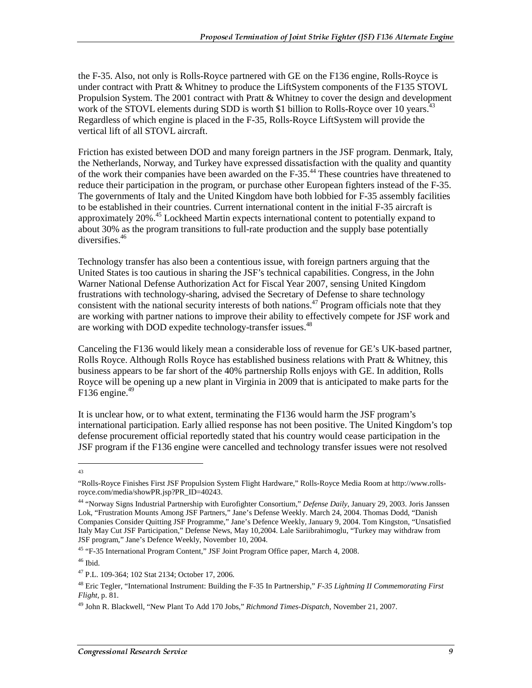the F-35. Also, not only is Rolls-Royce partnered with GE on the F136 engine, Rolls-Royce is under contract with Pratt & Whitney to produce the LiftSystem components of the F135 STOVL Propulsion System. The 2001 contract with Pratt & Whitney to cover the design and development work of the STOVL elements during SDD is worth \$1 billion to Rolls-Royce over 10 years.<sup>43</sup> Regardless of which engine is placed in the F-35, Rolls-Royce LiftSystem will provide the vertical lift of all STOVL aircraft.

Friction has existed between DOD and many foreign partners in the JSF program. Denmark, Italy, the Netherlands, Norway, and Turkey have expressed dissatisfaction with the quality and quantity of the work their companies have been awarded on the F-35.44 These countries have threatened to reduce their participation in the program, or purchase other European fighters instead of the F-35. The governments of Italy and the United Kingdom have both lobbied for F-35 assembly facilities to be established in their countries. Current international content in the initial F-35 aircraft is approximately 20%<sup>45</sup> Lockheed Martin expects international content to potentially expand to about 30% as the program transitions to full-rate production and the supply base potentially diversifies.46

Technology transfer has also been a contentious issue, with foreign partners arguing that the United States is too cautious in sharing the JSF's technical capabilities. Congress, in the John Warner National Defense Authorization Act for Fiscal Year 2007, sensing United Kingdom frustrations with technology-sharing, advised the Secretary of Defense to share technology consistent with the national security interests of both nations.<sup>47</sup> Program officials note that they are working with partner nations to improve their ability to effectively compete for JSF work and are working with DOD expedite technology-transfer issues.<sup>48</sup>

Canceling the F136 would likely mean a considerable loss of revenue for GE's UK-based partner, Rolls Royce. Although Rolls Royce has established business relations with Pratt & Whitney, this business appears to be far short of the 40% partnership Rolls enjoys with GE. In addition, Rolls Royce will be opening up a new plant in Virginia in 2009 that is anticipated to make parts for the F136 engine. $49$ 

It is unclear how, or to what extent, terminating the F136 would harm the JSF program's international participation. Early allied response has not been positive. The United Kingdom's top defense procurement official reportedly stated that his country would cease participation in the JSF program if the F136 engine were cancelled and technology transfer issues were not resolved

 $\overline{a}$ 43

<sup>&</sup>quot;Rolls-Royce Finishes First JSF Propulsion System Flight Hardware," Rolls-Royce Media Room at http://www.rollsroyce.com/media/showPR.jsp?PR\_ID=40243.

<sup>44 &</sup>quot;Norway Signs Industrial Partnership with Eurofighter Consortium," *Defense Daily,* January 29, 2003. Joris Janssen Lok, "Frustration Mounts Among JSF Partners," Jane's Defense Weekly. March 24, 2004. Thomas Dodd, "Danish Companies Consider Quitting JSF Programme," Jane's Defence Weekly, January 9, 2004. Tom Kingston, "Unsatisfied Italy May Cut JSF Participation," Defense News, May 10,2004. Lale Sariibrahimoglu, "Turkey may withdraw from JSF program," Jane's Defence Weekly, November 10, 2004.

<sup>45 &</sup>quot;F-35 International Program Content," JSF Joint Program Office paper, March 4, 2008.

 $46$  Ibid.

<sup>47</sup> P.L. 109-364; 102 Stat 2134; October 17, 2006.

<sup>48</sup> Eric Tegler, "International Instrument: Building the F-35 In Partnership," *F-35 Lightning II Commemorating First Flight,* p. 81*.*

<sup>49</sup> John R. Blackwell, "New Plant To Add 170 Jobs," *Richmond Times-Dispatch*, November 21, 2007.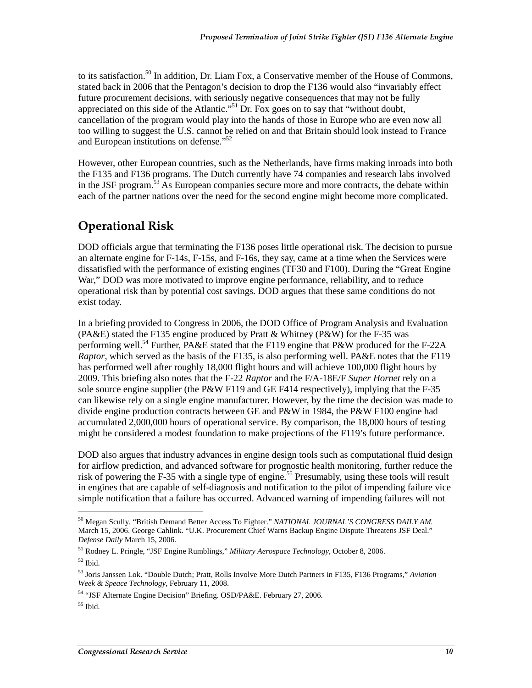to its satisfaction.<sup>50</sup> In addition, Dr. Liam Fox, a Conservative member of the House of Commons, stated back in 2006 that the Pentagon's decision to drop the F136 would also "invariably effect future procurement decisions, with seriously negative consequences that may not be fully appreciated on this side of the Atlantic."<sup>51</sup> Dr. Fox goes on to say that "without doubt, cancellation of the program would play into the hands of those in Europe who are even now all too willing to suggest the U.S. cannot be relied on and that Britain should look instead to France and European institutions on defense."<sup>52</sup>

However, other European countries, such as the Netherlands, have firms making inroads into both the F135 and F136 programs. The Dutch currently have 74 companies and research labs involved in the JSF program.<sup>53</sup> As European companies secure more and more contracts, the debate within each of the partner nations over the need for the second engine might become more complicated.

### **Operational Risk**

DOD officials argue that terminating the F136 poses little operational risk. The decision to pursue an alternate engine for F-14s, F-15s, and F-16s, they say, came at a time when the Services were dissatisfied with the performance of existing engines (TF30 and F100). During the "Great Engine War," DOD was more motivated to improve engine performance, reliability, and to reduce operational risk than by potential cost savings. DOD argues that these same conditions do not exist today.

In a briefing provided to Congress in 2006, the DOD Office of Program Analysis and Evaluation (PA&E) stated the F135 engine produced by Pratt & Whitney (P&W) for the F-35 was performing well.<sup>54</sup> Further, PA&E stated that the F119 engine that P&W produced for the F-22A *Raptor*, which served as the basis of the F135, is also performing well. PA&E notes that the F119 has performed well after roughly 18,000 flight hours and will achieve 100,000 flight hours by 2009. This briefing also notes that the F-22 *Raptor* and the F/A-18E/F *Super Hornet* rely on a sole source engine supplier (the P&W F119 and GE F414 respectively), implying that the F-35 can likewise rely on a single engine manufacturer. However, by the time the decision was made to divide engine production contracts between GE and P&W in 1984, the P&W F100 engine had accumulated 2,000,000 hours of operational service. By comparison, the 18,000 hours of testing might be considered a modest foundation to make projections of the F119's future performance.

DOD also argues that industry advances in engine design tools such as computational fluid design for airflow prediction, and advanced software for prognostic health monitoring, further reduce the risk of powering the F-35 with a single type of engine.<sup>55</sup> Presumably, using these tools will result in engines that are capable of self-diagnosis and notification to the pilot of impending failure vice simple notification that a failure has occurred. Advanced warning of impending failures will not

<sup>50</sup> Megan Scully. "British Demand Better Access To Fighter." *NATIONAL JOURNAL'S CONGRESS DAILY AM.* March 15, 2006. George Cahlink. "U.K. Procurement Chief Warns Backup Engine Dispute Threatens JSF Deal." *Defense Daily* March 15, 2006.

<sup>51</sup> Rodney L. Pringle, "JSF Engine Rumblings," *Military Aerospace Technology*, October 8, 2006.  $52$  Ibid.

<sup>53</sup> Joris Janssen Lok. "Double Dutch; Pratt, Rolls Involve More Dutch Partners in F135, F136 Programs," *Aviation Week & Speace Technology*, February 11, 2008.

<sup>54 &</sup>quot;JSF Alternate Engine Decision" Briefing. OSD/PA&E. February 27, 2006.

 $55$  Ibid.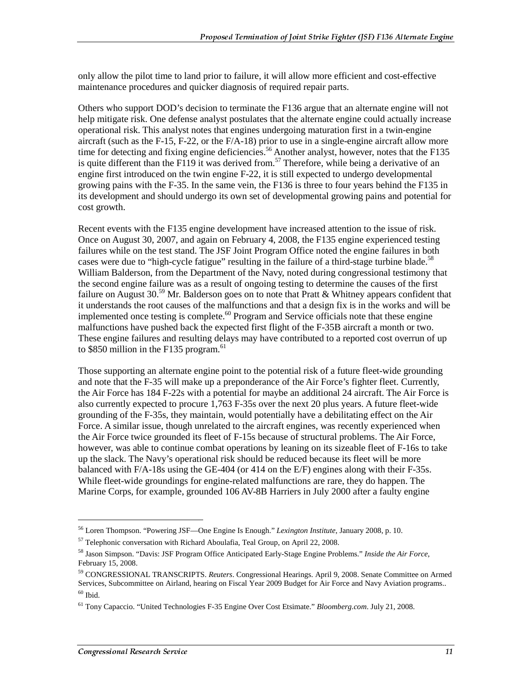only allow the pilot time to land prior to failure, it will allow more efficient and cost-effective maintenance procedures and quicker diagnosis of required repair parts.

Others who support DOD's decision to terminate the F136 argue that an alternate engine will not help mitigate risk. One defense analyst postulates that the alternate engine could actually increase operational risk. This analyst notes that engines undergoing maturation first in a twin-engine aircraft (such as the F-15, F-22, or the F/A-18) prior to use in a single-engine aircraft allow more time for detecting and fixing engine deficiencies.<sup>56</sup> Another analyst, however, notes that the F135 is quite different than the F119 it was derived from.<sup>57</sup> Therefore, while being a derivative of an engine first introduced on the twin engine F-22, it is still expected to undergo developmental growing pains with the F-35. In the same vein, the F136 is three to four years behind the F135 in its development and should undergo its own set of developmental growing pains and potential for cost growth.

Recent events with the F135 engine development have increased attention to the issue of risk. Once on August 30, 2007, and again on February 4, 2008, the F135 engine experienced testing failures while on the test stand. The JSF Joint Program Office noted the engine failures in both cases were due to "high-cycle fatigue" resulting in the failure of a third-stage turbine blade.<sup>58</sup> William Balderson, from the Department of the Navy, noted during congressional testimony that the second engine failure was as a result of ongoing testing to determine the causes of the first failure on August 30.<sup>59</sup> Mr. Balderson goes on to note that Pratt & Whitney appears confident that it understands the root causes of the malfunctions and that a design fix is in the works and will be implemented once testing is complete.<sup>60</sup> Program and Service officials note that these engine malfunctions have pushed back the expected first flight of the F-35B aircraft a month or two. These engine failures and resulting delays may have contributed to a reported cost overrun of up to \$850 million in the F135 program. $61$ 

Those supporting an alternate engine point to the potential risk of a future fleet-wide grounding and note that the F-35 will make up a preponderance of the Air Force's fighter fleet. Currently, the Air Force has 184 F-22s with a potential for maybe an additional 24 aircraft. The Air Force is also currently expected to procure 1,763 F-35s over the next 20 plus years. A future fleet-wide grounding of the F-35s, they maintain, would potentially have a debilitating effect on the Air Force. A similar issue, though unrelated to the aircraft engines, was recently experienced when the Air Force twice grounded its fleet of F-15s because of structural problems. The Air Force, however, was able to continue combat operations by leaning on its sizeable fleet of F-16s to take up the slack. The Navy's operational risk should be reduced because its fleet will be more balanced with F/A-18s using the GE-404 (or 414 on the E/F) engines along with their F-35s. While fleet-wide groundings for engine-related malfunctions are rare, they do happen. The Marine Corps, for example, grounded 106 AV-8B Harriers in July 2000 after a faulty engine

<sup>56</sup> Loren Thompson. "Powering JSF—One Engine Is Enough." *Lexington Institute*, January 2008, p. 10.

 $57$  Telephonic conversation with Richard Aboulafia, Teal Group, on April 22, 2008.

<sup>58</sup> Jason Simpson. "Davis: JSF Program Office Anticipated Early-Stage Engine Problems." *Inside the Air Force*, February 15, 2008.

<sup>59</sup> CONGRESSIONAL TRANSCRIPTS. *Reuters*. Congressional Hearings. April 9, 2008. Senate Committee on Armed Services, Subcommittee on Airland, hearing on Fiscal Year 2009 Budget for Air Force and Navy Aviation programs..  $60$  Ibid.

<sup>61</sup> Tony Capaccio. "United Technologies F-35 Engine Over Cost Etsimate." *Bloomberg.com*. July 21, 2008.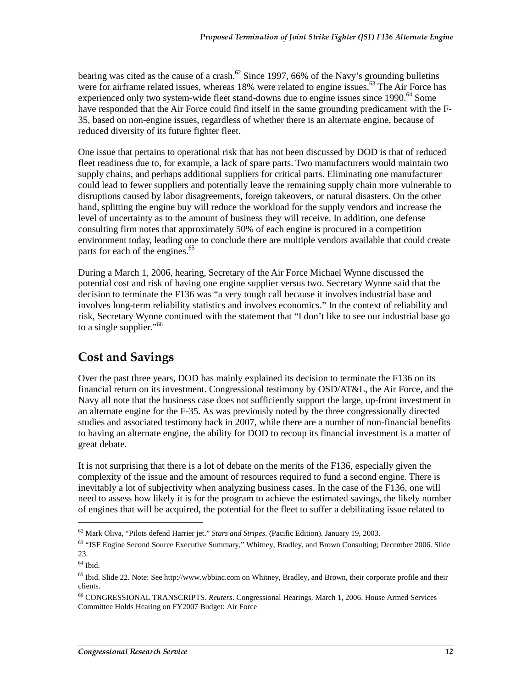bearing was cited as the cause of a crash.<sup>62</sup> Since 1997, 66% of the Navy's grounding bulletins were for airframe related issues, whereas 18% were related to engine issues.<sup>63</sup> The Air Force has experienced only two system-wide fleet stand-downs due to engine issues since 1990.<sup>64</sup> Some have responded that the Air Force could find itself in the same grounding predicament with the F-35, based on non-engine issues, regardless of whether there is an alternate engine, because of reduced diversity of its future fighter fleet.

One issue that pertains to operational risk that has not been discussed by DOD is that of reduced fleet readiness due to, for example, a lack of spare parts. Two manufacturers would maintain two supply chains, and perhaps additional suppliers for critical parts. Eliminating one manufacturer could lead to fewer suppliers and potentially leave the remaining supply chain more vulnerable to disruptions caused by labor disagreements, foreign takeovers, or natural disasters. On the other hand, splitting the engine buy will reduce the workload for the supply vendors and increase the level of uncertainty as to the amount of business they will receive. In addition, one defense consulting firm notes that approximately 50% of each engine is procured in a competition environment today, leading one to conclude there are multiple vendors available that could create parts for each of the engines.<sup>65</sup>

During a March 1, 2006, hearing, Secretary of the Air Force Michael Wynne discussed the potential cost and risk of having one engine supplier versus two. Secretary Wynne said that the decision to terminate the F136 was "a very tough call because it involves industrial base and involves long-term reliability statistics and involves economics." In the context of reliability and risk, Secretary Wynne continued with the statement that "I don't like to see our industrial base go to a single supplier."<sup>66</sup>

#### **Cost and Savings**

Over the past three years, DOD has mainly explained its decision to terminate the F136 on its financial return on its investment. Congressional testimony by OSD/AT&L, the Air Force, and the Navy all note that the business case does not sufficiently support the large, up-front investment in an alternate engine for the F-35. As was previously noted by the three congressionally directed studies and associated testimony back in 2007, while there are a number of non-financial benefits to having an alternate engine, the ability for DOD to recoup its financial investment is a matter of great debate.

It is not surprising that there is a lot of debate on the merits of the F136, especially given the complexity of the issue and the amount of resources required to fund a second engine. There is inevitably a lot of subjectivity when analyzing business cases. In the case of the F136, one will need to assess how likely it is for the program to achieve the estimated savings, the likely number of engines that will be acquired, the potential for the fleet to suffer a debilitating issue related to

<sup>62</sup> Mark Oliva, "Pilots defend Harrier jet." *Stars and Stripes*. (Pacific Edition). January 19, 2003.

<sup>&</sup>lt;sup>63</sup> "JSF Engine Second Source Executive Summary," Whitney, Bradley, and Brown Consulting; December 2006. Slide 23.

 $^{64}$  Ibid.

<sup>&</sup>lt;sup>65</sup> Ibid. Slide 22. Note: See http://www.wbbinc.com on Whitney, Bradley, and Brown, their corporate profile and their clients.

<sup>66</sup> CONGRESSIONAL TRANSCRIPTS. *Reuters*. Congressional Hearings. March 1, 2006. House Armed Services Committee Holds Hearing on FY2007 Budget: Air Force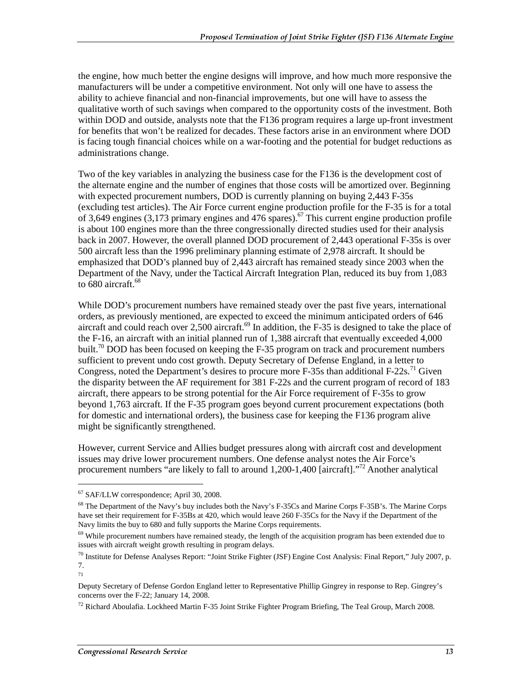the engine, how much better the engine designs will improve, and how much more responsive the manufacturers will be under a competitive environment. Not only will one have to assess the ability to achieve financial and non-financial improvements, but one will have to assess the qualitative worth of such savings when compared to the opportunity costs of the investment. Both within DOD and outside, analysts note that the F136 program requires a large up-front investment for benefits that won't be realized for decades. These factors arise in an environment where DOD is facing tough financial choices while on a war-footing and the potential for budget reductions as administrations change.

Two of the key variables in analyzing the business case for the F136 is the development cost of the alternate engine and the number of engines that those costs will be amortized over. Beginning with expected procurement numbers, DOD is currently planning on buying 2,443 F-35s (excluding test articles). The Air Force current engine production profile for the F-35 is for a total of 3,649 engines (3,173 primary engines and 476 spares).<sup>67</sup> This current engine production profile is about 100 engines more than the three congressionally directed studies used for their analysis back in 2007. However, the overall planned DOD procurement of 2,443 operational F-35s is over 500 aircraft less than the 1996 preliminary planning estimate of 2,978 aircraft. It should be emphasized that DOD's planned buy of 2,443 aircraft has remained steady since 2003 when the Department of the Navy, under the Tactical Aircraft Integration Plan, reduced its buy from 1,083 to  $680$  aircraft.<sup>68</sup>

While DOD's procurement numbers have remained steady over the past five years, international orders, as previously mentioned, are expected to exceed the minimum anticipated orders of 646 aircraft and could reach over 2,500 aircraft.<sup>69</sup> In addition, the F-35 is designed to take the place of the F-16, an aircraft with an initial planned run of 1,388 aircraft that eventually exceeded 4,000 built.<sup>70</sup> DOD has been focused on keeping the F-35 program on track and procurement numbers sufficient to prevent undo cost growth. Deputy Secretary of Defense England, in a letter to Congress, noted the Department's desires to procure more  $F-35s$  than additional  $F-22s$ .<sup>71</sup> Given the disparity between the AF requirement for 381 F-22s and the current program of record of 183 aircraft, there appears to be strong potential for the Air Force requirement of F-35s to grow beyond 1,763 aircraft. If the F-35 program goes beyond current procurement expectations (both for domestic and international orders), the business case for keeping the F136 program alive might be significantly strengthened.

However, current Service and Allies budget pressures along with aircraft cost and development issues may drive lower procurement numbers. One defense analyst notes the Air Force's procurement numbers "are likely to fall to around  $1,200-1,400$  [aircraft].<sup> $72$ </sup> Another analytical

<sup>67</sup> SAF/LLW correspondence; April 30, 2008.

<sup>&</sup>lt;sup>68</sup> The Department of the Navy's buy includes both the Navy's F-35Cs and Marine Corps F-35B's. The Marine Corps have set their requirement for F-35Bs at 420, which would leave 260 F-35Cs for the Navy if the Department of the Navy limits the buy to 680 and fully supports the Marine Corps requirements.

<sup>&</sup>lt;sup>69</sup> While procurement numbers have remained steady, the length of the acquisition program has been extended due to issues with aircraft weight growth resulting in program delays.

 $70$  Institute for Defense Analyses Report: "Joint Strike Fighter (JSF) Engine Cost Analysis: Final Report," July 2007, p. 7. 71

Deputy Secretary of Defense Gordon England letter to Representative Phillip Gingrey in response to Rep. Gingrey's concerns over the F-22; January 14, 2008.

<sup>72</sup> Richard Aboulafia. Lockheed Martin F-35 Joint Strike Fighter Program Briefing, The Teal Group, March 2008.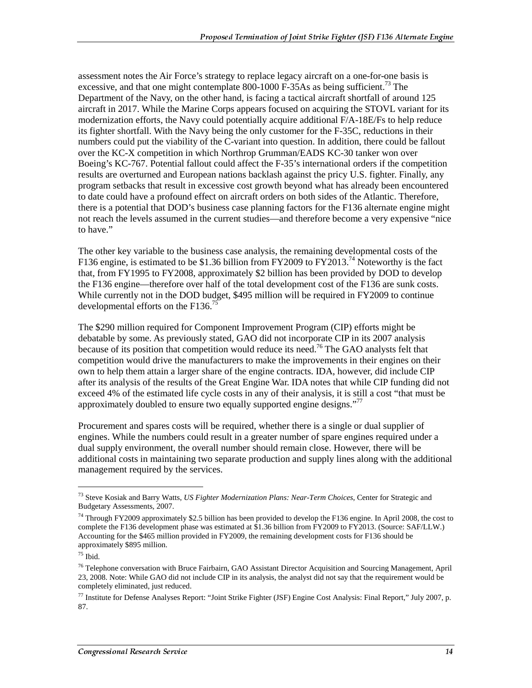assessment notes the Air Force's strategy to replace legacy aircraft on a one-for-one basis is excessive, and that one might contemplate  $800-1000$  F-35As as being sufficient.<sup>73</sup> The Department of the Navy, on the other hand, is facing a tactical aircraft shortfall of around 125 aircraft in 2017. While the Marine Corps appears focused on acquiring the STOVL variant for its modernization efforts, the Navy could potentially acquire additional F/A-18E/Fs to help reduce its fighter shortfall. With the Navy being the only customer for the F-35C, reductions in their numbers could put the viability of the C-variant into question. In addition, there could be fallout over the KC-X competition in which Northrop Grumman/EADS KC-30 tanker won over Boeing's KC-767. Potential fallout could affect the F-35's international orders if the competition results are overturned and European nations backlash against the pricy U.S. fighter. Finally, any program setbacks that result in excessive cost growth beyond what has already been encountered to date could have a profound effect on aircraft orders on both sides of the Atlantic. Therefore, there is a potential that DOD's business case planning factors for the F136 alternate engine might not reach the levels assumed in the current studies—and therefore become a very expensive "nice to have."

The other key variable to the business case analysis, the remaining developmental costs of the F136 engine, is estimated to be \$1.36 billion from FY2009 to FY2013.<sup>74</sup> Noteworthy is the fact that, from FY1995 to FY2008, approximately \$2 billion has been provided by DOD to develop the F136 engine—therefore over half of the total development cost of the F136 are sunk costs. While currently not in the DOD budget, \$495 million will be required in FY2009 to continue developmental efforts on the F136.75

The \$290 million required for Component Improvement Program (CIP) efforts might be debatable by some. As previously stated, GAO did not incorporate CIP in its 2007 analysis because of its position that competition would reduce its need.<sup>76</sup> The GAO analysts felt that competition would drive the manufacturers to make the improvements in their engines on their own to help them attain a larger share of the engine contracts. IDA, however, did include CIP after its analysis of the results of the Great Engine War. IDA notes that while CIP funding did not exceed 4% of the estimated life cycle costs in any of their analysis, it is still a cost "that must be approximately doubled to ensure two equally supported engine designs."<sup> $77$ </sup>

Procurement and spares costs will be required, whether there is a single or dual supplier of engines. While the numbers could result in a greater number of spare engines required under a dual supply environment, the overall number should remain close. However, there will be additional costs in maintaining two separate production and supply lines along with the additional management required by the services.

<sup>73</sup> Steve Kosiak and Barry Watts, *US Fighter Modernization Plans: Near-Term Choices*, Center for Strategic and Budgetary Assessments, 2007.

<sup>&</sup>lt;sup>74</sup> Through FY2009 approximately \$2.5 billion has been provided to develop the F136 engine. In April 2008, the cost to complete the F136 development phase was estimated at \$1.36 billion from FY2009 to FY2013. (Source: SAF/LLW.) Accounting for the \$465 million provided in FY2009, the remaining development costs for F136 should be approximately \$895 million.

 $75$  Ibid.

<sup>&</sup>lt;sup>76</sup> Telephone conversation with Bruce Fairbairn, GAO Assistant Director Acquisition and Sourcing Management, April 23, 2008. Note: While GAO did not include CIP in its analysis, the analyst did not say that the requirement would be completely eliminated, just reduced.

 $^{77}$  Institute for Defense Analyses Report: "Joint Strike Fighter (JSF) Engine Cost Analysis: Final Report," July 2007, p. 87.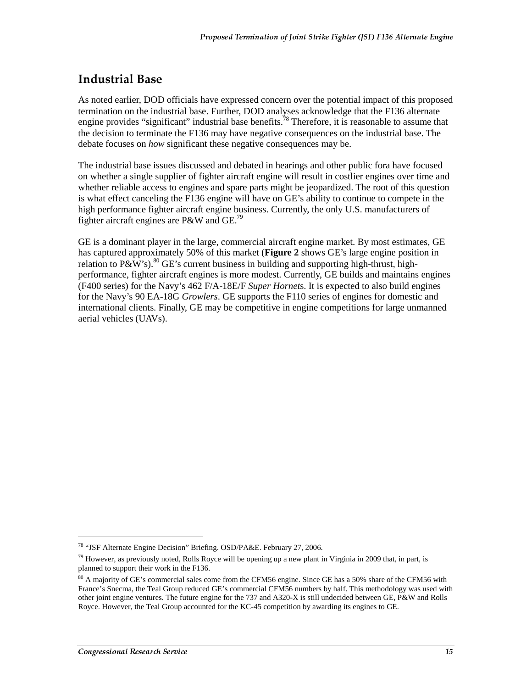#### Industrial Base

As noted earlier, DOD officials have expressed concern over the potential impact of this proposed termination on the industrial base. Further, DOD analyses acknowledge that the F136 alternate engine provides "significant" industrial base benefits.<sup>78</sup> Therefore, it is reasonable to assume that the decision to terminate the F136 may have negative consequences on the industrial base. The debate focuses on *how* significant these negative consequences may be.

The industrial base issues discussed and debated in hearings and other public fora have focused on whether a single supplier of fighter aircraft engine will result in costlier engines over time and whether reliable access to engines and spare parts might be jeopardized. The root of this question is what effect canceling the F136 engine will have on GE's ability to continue to compete in the high performance fighter aircraft engine business. Currently, the only U.S. manufacturers of fighter aircraft engines are P&W and GE.<sup>79</sup>

GE is a dominant player in the large, commercial aircraft engine market. By most estimates, GE has captured approximately 50% of this market (**Figure 2** shows GE's large engine position in relation to P&W's).<sup>80</sup> GE's current business in building and supporting high-thrust, highperformance, fighter aircraft engines is more modest. Currently, GE builds and maintains engines (F400 series) for the Navy's 462 F/A-18E/F *Super Hornet*s. It is expected to also build engines for the Navy's 90 EA-18G *Growlers*. GE supports the F110 series of engines for domestic and international clients. Finally, GE may be competitive in engine competitions for large unmanned aerial vehicles (UAVs).

<sup>78 &</sup>quot;JSF Alternate Engine Decision" Briefing. OSD/PA&E. February 27, 2006.

 $79$  However, as previously noted, Rolls Royce will be opening up a new plant in Virginia in 2009 that, in part, is planned to support their work in the F136.

<sup>&</sup>lt;sup>80</sup> A majority of GE's commercial sales come from the CFM56 engine. Since GE has a 50% share of the CFM56 with France's Snecma, the Teal Group reduced GE's commercial CFM56 numbers by half. This methodology was used with other joint engine ventures. The future engine for the 737 and A320-X is still undecided between GE, P&W and Rolls Royce. However, the Teal Group accounted for the KC-45 competition by awarding its engines to GE.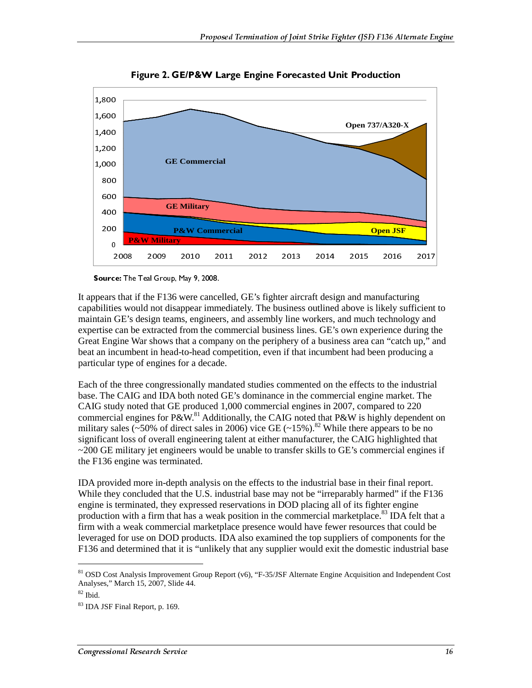

Figure 2. GE/P&W Large Engine Forecasted Unit Production

Source: The Teal Group, May 9, 2008.

It appears that if the F136 were cancelled, GE's fighter aircraft design and manufacturing capabilities would not disappear immediately. The business outlined above is likely sufficient to maintain GE's design teams, engineers, and assembly line workers, and much technology and expertise can be extracted from the commercial business lines. GE's own experience during the Great Engine War shows that a company on the periphery of a business area can "catch up," and beat an incumbent in head-to-head competition, even if that incumbent had been producing a particular type of engines for a decade.

Each of the three congressionally mandated studies commented on the effects to the industrial base. The CAIG and IDA both noted GE's dominance in the commercial engine market. The CAIG study noted that GE produced 1,000 commercial engines in 2007, compared to 220 commercial engines for  $P\&W$ .<sup>81</sup> Additionally, the CAIG noted that  $P\&W$  is highly dependent on military sales (~50% of direct sales in 2006) vice GE (~15%).<sup>82</sup> While there appears to be no significant loss of overall engineering talent at either manufacturer, the CAIG highlighted that ~200 GE military jet engineers would be unable to transfer skills to GE's commercial engines if the F136 engine was terminated.

IDA provided more in-depth analysis on the effects to the industrial base in their final report. While they concluded that the U.S. industrial base may not be "irreparably harmed" if the F136 engine is terminated, they expressed reservations in DOD placing all of its fighter engine production with a firm that has a weak position in the commercial marketplace.<sup>83</sup> IDA felt that a firm with a weak commercial marketplace presence would have fewer resources that could be leveraged for use on DOD products. IDA also examined the top suppliers of components for the F136 and determined that it is "unlikely that any supplier would exit the domestic industrial base

<sup>81</sup> OSD Cost Analysis Improvement Group Report (v6), "F-35/JSF Alternate Engine Acquisition and Independent Cost Analyses," March 15, 2007, Slide 44.

<sup>82</sup> Ibid.

<sup>83</sup> IDA JSF Final Report, p. 169.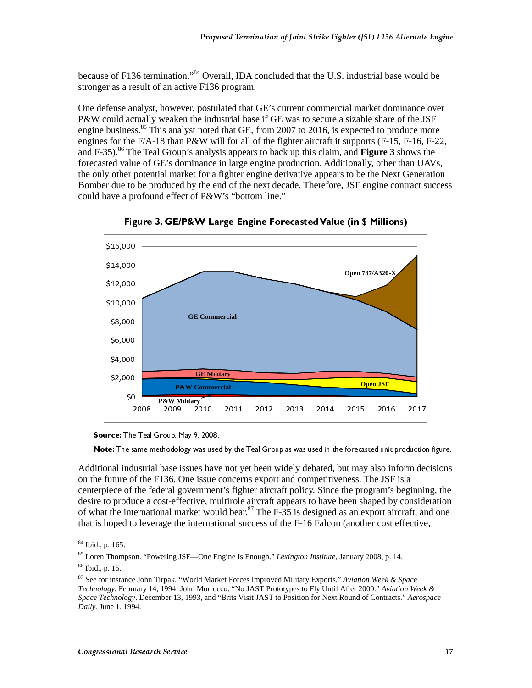because of F136 termination."<sup>84</sup> Overall, IDA concluded that the U.S. industrial base would be stronger as a result of an active F136 program.

One defense analyst, however, postulated that GE's current commercial market dominance over P&W could actually weaken the industrial base if GE was to secure a sizable share of the JSF engine business.<sup>85</sup> This analyst noted that GE, from 2007 to 2016, is expected to produce more engines for the F/A-18 than P&W will for all of the fighter aircraft it supports (F-15, F-16, F-22, and F-35).86 The Teal Group's analysis appears to back up this claim, and **Figure 3** shows the forecasted value of GE's dominance in large engine production. Additionally, other than UAVs, the only other potential market for a fighter engine derivative appears to be the Next Generation Bomber due to be produced by the end of the next decade. Therefore, JSF engine contract success could have a profound effect of P&W's "bottom line."





Note: The same methodology was used<br>itional industrial base issues have<br>the future of the F136. One issue c<br>erpiece of the federal government<br>re to produce a cost-effective, mu<br>that the international market woull<br>is hoped itional industrial base issues have not yet been widely debated, but may also inform decisions<br>the future of the F136. One issue concerns export and competitiveness. The JSF is a<br>erpiece of the federal government's fighte Additional industrial base issues have not yet been widely debated, but may also inform decisions on the future of the F136. One issue concerns export and competitiveness. The JSF is a centerpiece of the federal government's fighter aircraft policy. Since the program's beginning, the desire to produce a cost-effective, multirole aircraft appears to have been shaped by consideration of what the international market would bear.<sup>87</sup> The  $F-35$  is designed as an export aircraft, and one that is hoped to leverage the international success of the F-16 Falcon (another cost effective,

Source: The Teal Group, May 9, 2008.

<sup>84</sup> Ibid., p. 165.

<sup>85</sup> Loren Thompson. "Powering JSF—One Engine Is Enough." *Lexington Institute*, January 2008, p. 14.

<sup>86</sup> Ibid., p. 15.

<sup>87</sup> See for instance John Tirpak. "World Market Forces Improved Military Exports." *Aviation Week & Space Technology.* February 14, 1994. John Morrocco. "No JAST Prototypes to Fly Until After 2000." *Aviation Week & Space Technology*. December 13, 1993, and "Brits Visit JAST to Position for Next Round of Contracts." *Aerospace Daily.* June 1, 1994.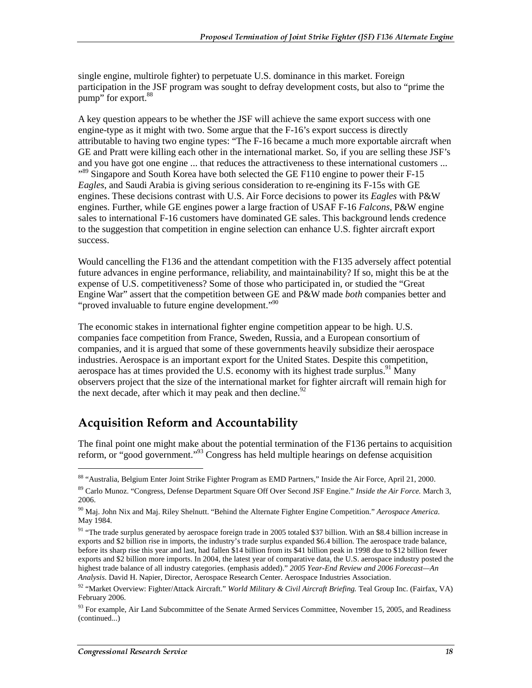single engine, multirole fighter) to perpetuate U.S. dominance in this market. Foreign participation in the JSF program was sought to defray development costs, but also to "prime the pump" for export.<sup>88</sup>

A key question appears to be whether the JSF will achieve the same export success with one engine-type as it might with two. Some argue that the F-16's export success is directly attributable to having two engine types: "The F-16 became a much more exportable aircraft when GE and Pratt were killing each other in the international market. So, if you are selling these JSF's and you have got one engine ... that reduces the attractiveness to these international customers ... <sup>89</sup> Singapore and South Korea have both selected the GE F110 engine to power their F-15 *Eagles*, and Saudi Arabia is giving serious consideration to re-engining its F-15s with GE engines. These decisions contrast with U.S. Air Force decisions to power its *Eagles* with P&W engines. Further, while GE engines power a large fraction of USAF F-16 *Falcons*, P&W engine sales to international F-16 customers have dominated GE sales. This background lends credence to the suggestion that competition in engine selection can enhance U.S. fighter aircraft export success.

Would cancelling the F136 and the attendant competition with the F135 adversely affect potential future advances in engine performance, reliability, and maintainability? If so, might this be at the expense of U.S. competitiveness? Some of those who participated in, or studied the "Great Engine War" assert that the competition between GE and P&W made *both* companies better and "proved invaluable to future engine development."<sup>90</sup>

The economic stakes in international fighter engine competition appear to be high. U.S. companies face competition from France, Sweden, Russia, and a European consortium of companies, and it is argued that some of these governments heavily subsidize their aerospace industries. Aerospace is an important export for the United States. Despite this competition, aerospace has at times provided the U.S. economy with its highest trade surplus.<sup>91</sup> Many observers project that the size of the international market for fighter aircraft will remain high for the next decade, after which it may peak and then decline.<sup>92</sup>

#### Acquisition Reform and Accountability

The final point one might make about the potential termination of the F136 pertains to acquisition reform, or "good government."93 Congress has held multiple hearings on defense acquisition

<sup>88 &</sup>quot;Australia, Belgium Enter Joint Strike Fighter Program as EMD Partners," Inside the Air Force, April 21, 2000.

<sup>89</sup> Carlo Munoz. "Congress, Defense Department Square Off Over Second JSF Engine." *Inside the Air Force.* March 3, 2006.

<sup>90</sup> Maj. John Nix and Maj. Riley Shelnutt. "Behind the Alternate Fighter Engine Competition." *Aerospace America.* May 1984.

<sup>&</sup>lt;sup>91</sup> "The trade surplus generated by aerospace foreign trade in 2005 totaled \$37 billion. With an \$8.4 billion increase in exports and \$2 billion rise in imports, the industry's trade surplus expanded \$6.4 billion. The aerospace trade balance, before its sharp rise this year and last, had fallen \$14 billion from its \$41 billion peak in 1998 due to \$12 billion fewer exports and \$2 billion more imports. In 2004, the latest year of comparative data, the U.S. aerospace industry posted the highest trade balance of all industry categories. (emphasis added)." *2005 Year-End Review and 2006 Forecast—An Analysis*. David H. Napier, Director, Aerospace Research Center. Aerospace Industries Association.

<sup>92 &</sup>quot;Market Overview: Fighter/Attack Aircraft." *World Military & Civil Aircraft Briefing.* Teal Group Inc. (Fairfax, VA) February 2006.

<sup>&</sup>lt;sup>93</sup> For example, Air Land Subcommittee of the Senate Armed Services Committee, November 15, 2005, and Readiness (continued...)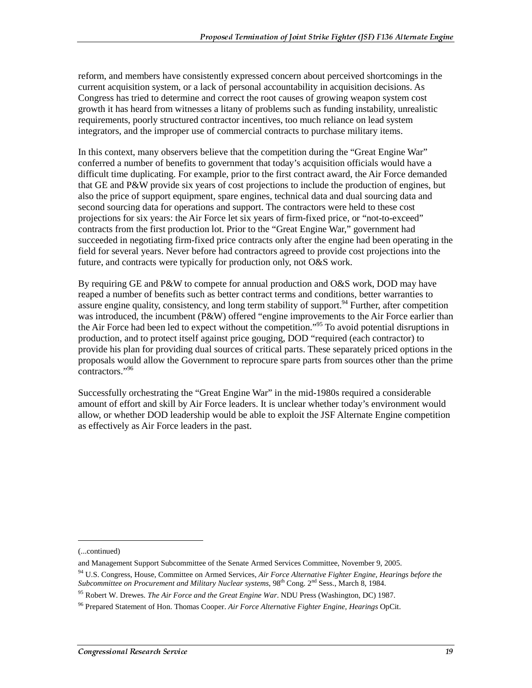reform, and members have consistently expressed concern about perceived shortcomings in the current acquisition system, or a lack of personal accountability in acquisition decisions. As Congress has tried to determine and correct the root causes of growing weapon system cost growth it has heard from witnesses a litany of problems such as funding instability, unrealistic requirements, poorly structured contractor incentives, too much reliance on lead system integrators, and the improper use of commercial contracts to purchase military items.

In this context, many observers believe that the competition during the "Great Engine War" conferred a number of benefits to government that today's acquisition officials would have a difficult time duplicating. For example, prior to the first contract award, the Air Force demanded that GE and P&W provide six years of cost projections to include the production of engines, but also the price of support equipment, spare engines, technical data and dual sourcing data and second sourcing data for operations and support. The contractors were held to these cost projections for six years: the Air Force let six years of firm-fixed price, or "not-to-exceed" contracts from the first production lot. Prior to the "Great Engine War," government had succeeded in negotiating firm-fixed price contracts only after the engine had been operating in the field for several years. Never before had contractors agreed to provide cost projections into the future, and contracts were typically for production only, not O&S work.

By requiring GE and P&W to compete for annual production and O&S work, DOD may have reaped a number of benefits such as better contract terms and conditions, better warranties to assure engine quality, consistency, and long term stability of support.  $94$  Further, after competition was introduced, the incumbent (P&W) offered "engine improvements to the Air Force earlier than the Air Force had been led to expect without the competition."<sup>95</sup> To avoid potential disruptions in production, and to protect itself against price gouging, DOD "required (each contractor) to provide his plan for providing dual sources of critical parts. These separately priced options in the proposals would allow the Government to reprocure spare parts from sources other than the prime contractors."96

Successfully orchestrating the "Great Engine War" in the mid-1980s required a considerable amount of effort and skill by Air Force leaders. It is unclear whether today's environment would allow, or whether DOD leadership would be able to exploit the JSF Alternate Engine competition as effectively as Air Force leaders in the past.

<sup>(...</sup>continued)

and Management Support Subcommittee of the Senate Armed Services Committee, November 9, 2005.

<sup>94</sup> U.S. Congress, House, Committee on Armed Services, *Air Force Alternative Fighter Engine, Hearings before the Subcommittee on Procurement and Military Nuclear systems,* 98th Cong. 2nd Sess., March 8, 1984.

<sup>95</sup> Robert W. Drewes. *The Air Force and the Great Engine War*. NDU Press (Washington, DC) 1987.

<sup>96</sup> Prepared Statement of Hon. Thomas Cooper. *Air Force Alternative Fighter Engine, Hearings* OpCit.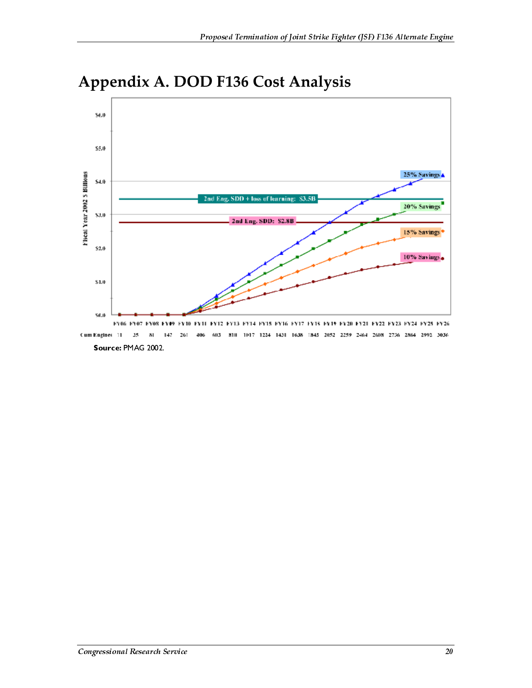

### **Appendix A. DOD F136 Cost Analysis**

FY06 FY07 FY08 FY09 FY10 FY11 FY12 FY13 FY14 FY15 FY16 FY17 FY18 FY19 FY20 FY21 FY22 FY23 FY24 FY25 FY26 Cum Engines 11 15 147  $26\mathrm{I}$ 406 603 810 1017 1224 1431 1638 1845 2052 2259 2464 2608 2756 2864 2993 3036  $\overline{\mathbf{a}}$ Source: PMAG 2002.